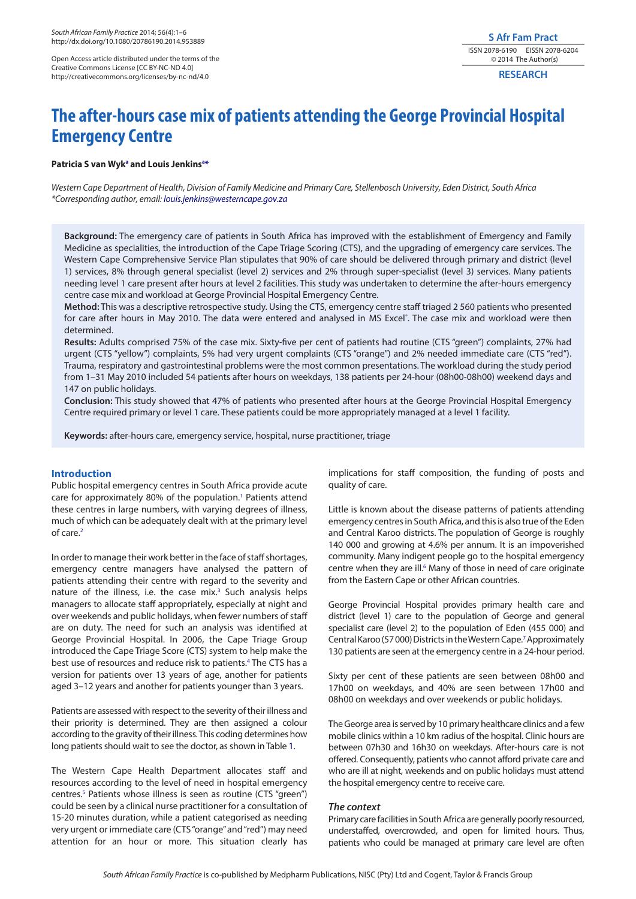Open Access article distributed under the terms of the Creative Commons License [CC BY-NC-ND 4.0] http://creativecommons.org/licenses/by-nc-nd/4.0

# **S Afr Fam Pract** ISSN 2078-6190 EISSN 2078-6204 © 2014 The Author(s)

**RESEARCH**

# **The after-hours case mix of patients attending the George Provincial Hospital Emergency Centre**

# Patricia S van Wyk<sup>a</sup> and Louis Jenkins<sup>a[\\*](#page-0-0)</sup>

<span id="page-0-0"></span>*Western Cape Department of Health, Division of Family Medicine and Primary Care, Stellenbosch University, Eden District, South Africa \*Corresponding author, email: [louis.jenkins@westerncape.gov.za](mailto:louis.jenkins@westerncape.gov.za)*

**Background:** The emergency care of patients in South Africa has improved with the establishment of Emergency and Family Medicine as specialities, the introduction of the Cape Triage Scoring (CTS), and the upgrading of emergency care services. The Western Cape Comprehensive Service Plan stipulates that 90% of care should be delivered through primary and district (level 1) services, 8% through general specialist (level 2) services and 2% through super-specialist (level 3) services. Many patients needing level 1 care present after hours at level 2 facilities. This study was undertaken to determine the after-hours emergency centre case mix and workload at George Provincial Hospital Emergency Centre.

**Method:** This was a descriptive retrospective study. Using the CTS, emergency centre staff triaged 2 560 patients who presented for care after hours in May 2010. The data were entered and analysed in MS Excel˚. The case mix and workload were then determined.

**Results:** Adults comprised 75% of the case mix. Sixty-five per cent of patients had routine (CTS "green") complaints, 27% had urgent (CTS "yellow") complaints, 5% had very urgent complaints (CTS "orange") and 2% needed immediate care (CTS "red"). Trauma, respiratory and gastrointestinal problems were the most common presentations. The workload during the study period from 1–31 May 2010 included 54 patients after hours on weekdays, 138 patients per 24-hour (08h00-08h00) weekend days and 147 on public holidays.

**Conclusion:** This study showed that 47% of patients who presented after hours at the George Provincial Hospital Emergency Centre required primary or level 1 care. These patients could be more appropriately managed at a level 1 facility.

**Keywords:** after-hours care, emergency service, hospital, nurse practitioner, triage

# **Introduction**

Public hospital emergency centres in South Africa provide acute care for approximately 80% of the population.<sup>[1](#page-4-0)</sup> Patients attend these centres in large numbers, with varying degrees of illness, much of which can be adequately dealt with at the primary level of care.<sup>2</sup>

In order to manage their work better in the face of staff shortages, emergency centre managers have analysed the pattern of patients attending their centre with regard to the severity and nature of the illness, i.e. the case mix.<sup>[3](#page-4-2)</sup> Such analysis helps managers to allocate staff appropriately, especially at night and over weekends and public holidays, when fewer numbers of staff are on duty. The need for such an analysis was identified at George Provincial Hospital. In 2006, the Cape Triage Group introduced the Cape Triage Score (CTS) system to help make the best use of resources and reduce risk to patients.<sup>4</sup> The CTS has a version for patients over 13 years of age, another for patients aged 3–12 years and another for patients younger than 3 years.

Patients are assessed with respect to the severity of their illness and their priority is determined. They are then assigned a colour according to the gravity of their illness. This coding determines how long patients should wait to see the doctor, as shown in Table [1.](#page-1-0)

The Western Cape Health Department allocates staff and resources according to the level of need in hospital emergency centres.<sup>5</sup> Patients whose illness is seen as routine (CTS "green") could be seen by a clinical nurse practitioner for a consultation of 15-20 minutes duration, while a patient categorised as needing very urgent or immediate care (CTS "orange" and "red") may need attention for an hour or more. This situation clearly has

implications for staff composition, the funding of posts and quality of care.

Little is known about the disease patterns of patients attending emergency centres in South Africa, and this is also true of the Eden and Central Karoo districts. The population of George is roughly 140 000 and growing at 4.6% per annum. It is an impoverished community. Many indigent people go to the hospital emergency centre when they are ill.<sup>6</sup> Many of those in need of care originate from the Eastern Cape or other African countries.

George Provincial Hospital provides primary health care and district (level 1) care to the population of George and general specialist care (level 2) to the population of Eden (455 000) and Central Karoo (57 000) Districts in the Western Cape.[7](#page-4-6) Approximately 130 patients are seen at the emergency centre in a 24-hour period.

Sixty per cent of these patients are seen between 08h00 and 17h00 on weekdays, and 40% are seen between 17h00 and 08h00 on weekdays and over weekends or public holidays.

The George area is served by 10 primary healthcare clinics and a few mobile clinics within a 10 km radius of the hospital. Clinic hours are between 07h30 and 16h30 on weekdays. After-hours care is not offered. Consequently, patients who cannot afford private care and who are ill at night, weekends and on public holidays must attend the hospital emergency centre to receive care.

### *The context*

Primary care facilities in South Africa are generally poorly resourced, understaffed, overcrowded, and open for limited hours. Thus, patients who could be managed at primary care level are often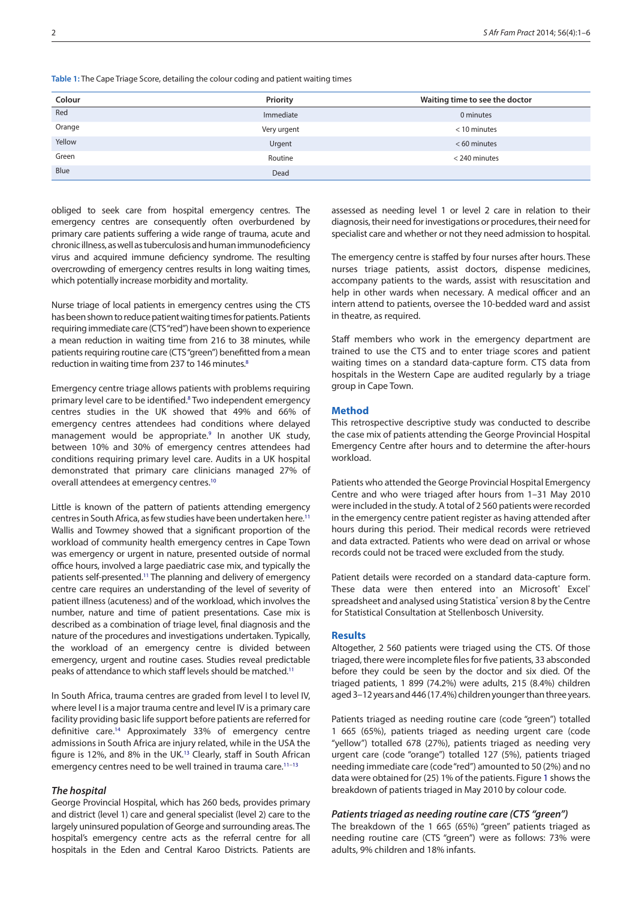<span id="page-1-0"></span>**Table 1:** The Cape Triage Score, detailing the colour coding and patient waiting times

| Colour | Priority    | Waiting time to see the doctor |
|--------|-------------|--------------------------------|
| Red    | Immediate   | 0 minutes                      |
| Orange | Very urgent | $<$ 10 minutes                 |
| Yellow | Urgent      | $< 60$ minutes                 |
| Green  | Routine     | < 240 minutes                  |
| Blue   | Dead        |                                |

obliged to seek care from hospital emergency centres. The emergency centres are consequently often overburdened by primary care patients suffering a wide range of trauma, acute and chronic illness, as well as tuberculosis and human immunodeficiency virus and acquired immune deficiency syndrome. The resulting overcrowding of emergency centres results in long waiting times, which potentially increase morbidity and mortality.

Nurse triage of local patients in emergency centres using the CTS has been shown to reduce patient waiting times for patients. Patients requiring immediate care (CTS "red") have been shown to experience a mean reduction in waiting time from 216 to 38 minutes, while patients requiring routine care (CTS "green") benefitted from a mean reduction in waiting time from 237 to 146 minutes.<sup>8</sup>

Emergency centre triage allows patients with problems requiring primary level care to be identified.<sup>[8](#page-4-7)</sup> Two independent emergency centres studies in the UK showed that 49% and 66% of emergency centres attendees had conditions where delayed management would be appropriate.<sup>9</sup> In another UK study, between 10% and 30% of emergency centres attendees had conditions requiring primary level care. Audits in a UK hospital demonstrated that primary care clinicians managed 27% of overall attendees at emergency centres[.10](#page-4-9)

Little is known of the pattern of patients attending emergency centres in South Africa, as few studies have been undertaken here[.11](#page-4-10) Wallis and Towmey showed that a significant proportion of the workload of community health emergency centres in Cape Town was emergency or urgent in nature, presented outside of normal office hours, involved a large paediatric case mix, and typically the patients self-presented[.11](#page-4-10) The planning and delivery of emergency centre care requires an understanding of the level of severity of patient illness (acuteness) and of the workload, which involves the number, nature and time of patient presentations. Case mix is described as a combination of triage level, final diagnosis and the nature of the procedures and investigations undertaken. Typically, the workload of an emergency centre is divided between emergency, urgent and routine cases. Studies reveal predictable peaks of attendance to which staff levels should be matched[.11](#page-4-10)

In South Africa, trauma centres are graded from level I to level IV, where level I is a major trauma centre and level IV is a primary care facility providing basic life support before patients are referred for definitive care[.14](#page-4-11) Approximately 33% of emergency centre admissions in South Africa are injury related, while in the USA the figure is 12%, and 8% in the UK[.13](#page-4-12) Clearly, staff in South African emergency centres need to be well trained in trauma care.<sup>11−[13](#page-4-12)</sup>

# *The hospital*

George Provincial Hospital, which has 260 beds, provides primary and district (level 1) care and general specialist (level 2) care to the largely uninsured population of George and surrounding areas. The hospital's emergency centre acts as the referral centre for all hospitals in the Eden and Central Karoo Districts. Patients are assessed as needing level 1 or level 2 care in relation to their diagnosis, their need for investigations or procedures, their need for specialist care and whether or not they need admission to hospital.

The emergency centre is staffed by four nurses after hours. These nurses triage patients, assist doctors, dispense medicines, accompany patients to the wards, assist with resuscitation and help in other wards when necessary. A medical officer and an intern attend to patients, oversee the 10-bedded ward and assist in theatre, as required.

Staff members who work in the emergency department are trained to use the CTS and to enter triage scores and patient waiting times on a standard data-capture form. CTS data from hospitals in the Western Cape are audited regularly by a triage group in Cape Town.

# **Method**

This retrospective descriptive study was conducted to describe the case mix of patients attending the George Provincial Hospital Emergency Centre after hours and to determine the after-hours workload.

Patients who attended the George Provincial Hospital Emergency Centre and who were triaged after hours from 1–31 May 2010 were included in the study. A total of 2 560 patients were recorded in the emergency centre patient register as having attended after hours during this period. Their medical records were retrieved and data extracted. Patients who were dead on arrival or whose records could not be traced were excluded from the study.

Patient details were recorded on a standard data-capture form. These data were then entered into an Microsoft<sup>®</sup> Excel<sup>®</sup> spreadsheet and analysed using Statistica<sup>®</sup> version 8 by the Centre for Statistical Consultation at Stellenbosch University.

### **Results**

Altogether, 2 560 patients were triaged using the CTS. Of those triaged, there were incomplete files for five patients, 33 absconded before they could be seen by the doctor and six died. Of the triaged patients, 1 899 (74.2%) were adults, 215 (8.4%) children aged 3–12 years and 446 (17.4%) children younger than three years.

Patients triaged as needing routine care (code "green") totalled 1 665 (65%), patients triaged as needing urgent care (code "yellow") totalled 678 (27%), patients triaged as needing very urgent care (code "orange") totalled 127 (5%), patients triaged needing immediate care (code "red") amounted to 50 (2%) and no data were obtained for (25) 1% of the patients. Figure [1](#page-2-0) shows the breakdown of patients triaged in May 2010 by colour code.

# *Patients triaged as needing routine care (CTS "green")*

The breakdown of the 1 665 (65%) "green" patients triaged as needing routine care (CTS "green") were as follows: 73% were adults, 9% children and 18% infants.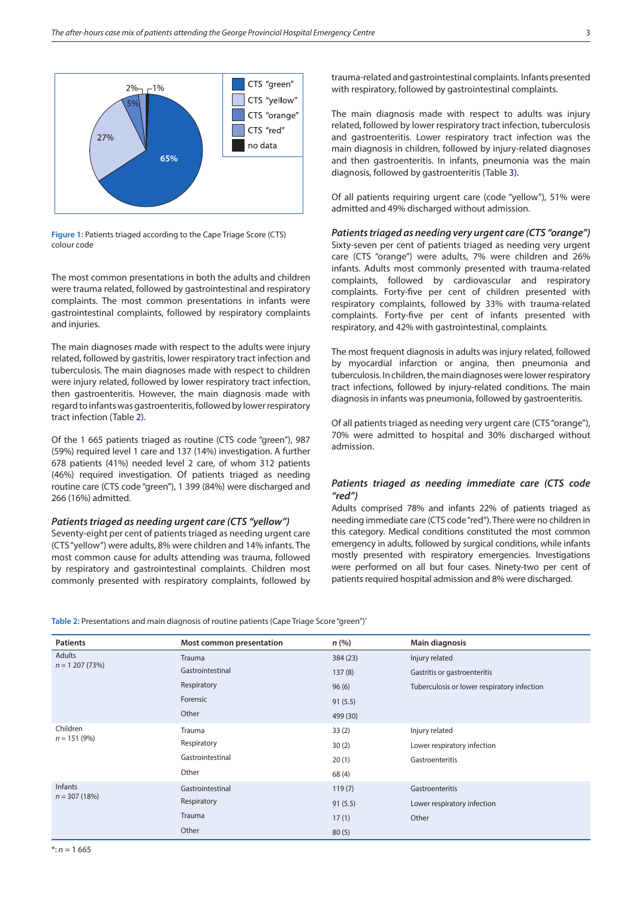

<span id="page-2-0"></span>**Figure 1:** Patients triaged according to the Cape Triage Score (CTS) colour code

The most common presentations in both the adults and children were trauma related, followed by gastrointestinal and respiratory complaints. The most common presentations in infants were gastrointestinal complaints, followed by respiratory complaints and injuries.

The main diagnoses made with respect to the adults were injury related, followed by gastritis, lower respiratory tract infection and tuberculosis. The main diagnoses made with respect to children were injury related, followed by lower respiratory tract infection, then gastroenteritis. However, the main diagnosis made with regard to infants was gastroenteritis, followed by lower respiratory tract infection (Table [2\).](#page-1-0)

Of the 1 665 patients triaged as routine (CTS code "green"), 987 (59%) required level 1 care and 137 (14%) investigation. A further 678 patients (41%) needed level 2 care, of whom 312 patients (46%) required investigation. Of patients triaged as needing routine care (CTS code "green"), 1 399 (84%) were discharged and 266 (16%) admitted.

# *Patients triaged as needing urgent care (CTS "yellow")*

Seventy-eight per cent of patients triaged as needing urgent care (CTS "yellow") were adults, 8% were children and 14% infants. The most common cause for adults attending was trauma, followed by respiratory and gastrointestinal complaints. Children most commonly presented with respiratory complaints, followed by

trauma-related and gastrointestinal complaints. Infants presented with respiratory, followed by gastrointestinal complaints.

The main diagnosis made with respect to adults was injury related, followed by lower respiratory tract infection, tuberculosis and gastroenteritis. Lower respiratory tract infection was the main diagnosis in children, followed by injury-related diagnoses and then gastroenteritis. In infants, pneumonia was the main diagnosis, followed by gastroenteritis (Table [3\).](#page-1-0)

Of all patients requiring urgent care (code "yellow"), 51% were admitted and 49% discharged without admission.

#### *Patients triaged as needing very urgent care (CTS "orange")*

Sixty-seven per cent of patients triaged as needing very urgent care (CTS "orange") were adults, 7% were children and 26% infants. Adults most commonly presented with trauma-related complaints, followed by cardiovascular and respiratory complaints. Forty-five per cent of children presented with respiratory complaints, followed by 33% with trauma-related complaints. Forty-five per cent of infants presented with respiratory, and 42% with gastrointestinal, complaints.

The most frequent diagnosis in adults was injury related, followed by myocardial infarction or angina, then pneumonia and tuberculosis. In children, the main diagnoses were lower respiratory tract infections, followed by injury-related conditions. The main diagnosis in infants was pneumonia, followed by gastroenteritis.

Of all patients triaged as needing very urgent care (CTS "orange"), 70% were admitted to hospital and 30% discharged without admission.

# *Patients triaged as needing immediate care (CTS code "red")*

Adults comprised 78% and infants 22% of patients triaged as needing immediate care (CTS code "red"). There were no children in this category. Medical conditions constituted the most common emergency in adults, followed by surgical conditions, while infants mostly presented with respiratory emergencies. Investigations were performed on all but four cases. Ninety-two per cent of patients required hospital admission and 8% were discharged.

**Table 2:** Presentations and main diagnosis of routine patients (Cape Triage Score "green")\*

| <b>Patients</b>            | Most common presentation | n(% )    | <b>Main diagnosis</b>                       |  |
|----------------------------|--------------------------|----------|---------------------------------------------|--|
| Adults<br>$n = 1207(73%)$  | Trauma                   | 384 (23) | Injury related                              |  |
|                            | Gastrointestinal         | 137(8)   | Gastritis or gastroenteritis                |  |
|                            | Respiratory              | 96(6)    | Tuberculosis or lower respiratory infection |  |
|                            | Forensic                 | 91(5.5)  |                                             |  |
|                            | Other                    | 499 (30) |                                             |  |
| Children<br>$n = 151 (9%)$ | Trauma                   | 33(2)    | Injury related                              |  |
|                            | Respiratory              | 30(2)    | Lower respiratory infection                 |  |
|                            | Gastrointestinal         | 20(1)    | Gastroenteritis                             |  |
|                            | Other                    | 68 (4)   |                                             |  |
| Infants<br>$n = 307(18%)$  | Gastrointestinal         | 119(7)   | Gastroenteritis                             |  |
|                            | Respiratory              | 91(5.5)  | Lower respiratory infection                 |  |
|                            | Trauma                   | 17(1)    | Other                                       |  |
|                            | Other                    | 80(5)    |                                             |  |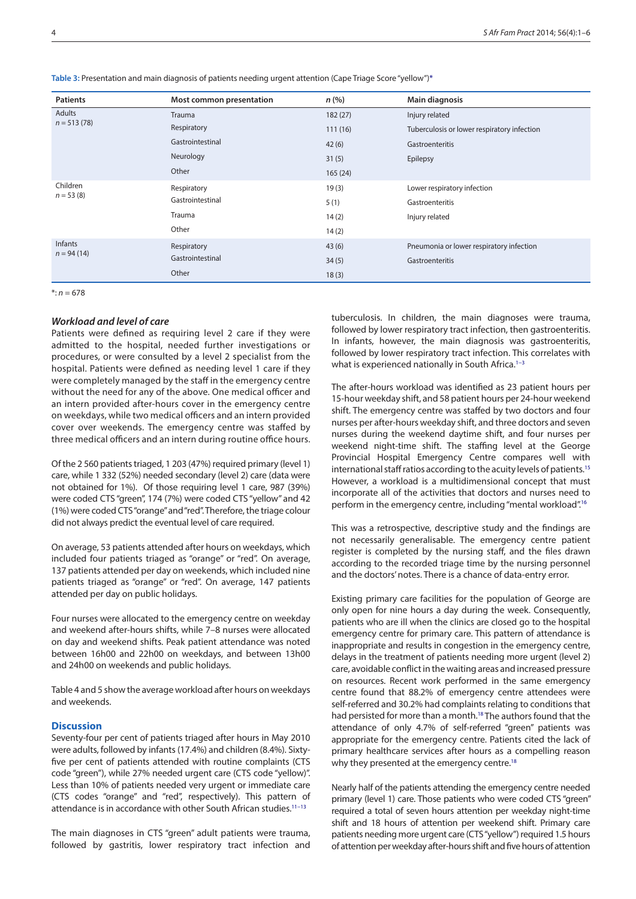**Table 3:** Presentation and main diagnosis of patients needing urgent attention (Cape Triage Score "yellow"[\)\\*](#page-3-0)

| <b>Patients</b>         | Most common presentation | n(% )   | Main diagnosis                              |
|-------------------------|--------------------------|---------|---------------------------------------------|
| Adults<br>$n = 513(78)$ | <b>Trauma</b>            | 182(27) | Injury related                              |
|                         | Respiratory              | 111(16) | Tuberculosis or lower respiratory infection |
|                         | Gastrointestinal         | 42(6)   | Gastroenteritis                             |
|                         | Neurology                | 31(5)   | Epilepsy                                    |
|                         | Other                    | 165(24) |                                             |
| Children<br>$n = 53(8)$ | Respiratory              | 19(3)   | Lower respiratory infection                 |
|                         | Gastrointestinal         | 5(1)    | Gastroenteritis                             |
|                         | Trauma                   | 14(2)   | Injury related                              |
|                         | Other                    | 14(2)   |                                             |
| Infants<br>$n = 94(14)$ | Respiratory              | 43(6)   | Pneumonia or lower respiratory infection    |
|                         | Gastrointestinal         | 34(5)   | Gastroenteritis                             |
|                         | Other                    | 18(3)   |                                             |

<span id="page-3-0"></span> $\cdot n = 678$ 

# *Workload and level of care*

Patients were defined as requiring level 2 care if they were admitted to the hospital, needed further investigations or procedures, or were consulted by a level 2 specialist from the hospital. Patients were defined as needing level 1 care if they were completely managed by the staff in the emergency centre without the need for any of the above. One medical officer and an intern provided after-hours cover in the emergency centre on weekdays, while two medical officers and an intern provided cover over weekends. The emergency centre was staffed by three medical officers and an intern during routine office hours.

Of the 2 560 patients triaged, 1 203 (47%) required primary (level 1) care, while 1 332 (52%) needed secondary (level 2) care (data were not obtained for 1%). Of those requiring level 1 care, 987 (39%) were coded CTS "green", 174 (7%) were coded CTS "yellow" and 42 (1%) were coded CTS "orange" and "red". Therefore, the triage colour did not always predict the eventual level of care required.

On average, 53 patients attended after hours on weekdays, which included four patients triaged as "orange" or "red". On average, 137 patients attended per day on weekends, which included nine patients triaged as "orange" or "red". On average, 147 patients attended per day on public holidays.

Four nurses were allocated to the emergency centre on weekday and weekend after-hours shifts, while 7–8 nurses were allocated on day and weekend shifts. Peak patient attendance was noted between 16h00 and 22h00 on weekdays, and between 13h00 and 24h00 on weekends and public holidays.

Table 4 and 5 show the average workload after hours on weekdays and weekends.

# **Discussion**

Seventy-four per cent of patients triaged after hours in May 2010 were adults, followed by infants (17.4%) and children (8.4%). Sixtyfive per cent of patients attended with routine complaints (CTS code "green"), while 27% needed urgent care (CTS code "yellow)". Less than 10% of patients needed very urgent or immediate care (CTS codes "orange" and "red", respectively). This pattern of attendance is in accordance with other South African studies[.11−13](#page-4-10)

The main diagnoses in CTS "green" adult patients were trauma, followed by gastritis, lower respiratory tract infection and tuberculosis. In children, the main diagnoses were trauma, followed by lower respiratory tract infection, then gastroenteritis. In infants, however, the main diagnosis was gastroenteritis, followed by lower respiratory tract infection. This correlates with what is experienced nationally in South Africa.<sup>1-3</sup>

The after-hours workload was identified as 23 patient hours per 15-hour weekday shift, and 58 patient hours per 24-hour weekend shift. The emergency centre was staffed by two doctors and four nurses per after-hours weekday shift, and three doctors and seven nurses during the weekend daytime shift, and four nurses per weekend night-time shift. The staffing level at the George Provincial Hospital Emergency Centre compares well with international staff ratios according to the acuity levels of patients[.15](#page-4-13) However, a workload is a multidimensional concept that must incorporate all of the activities that doctors and nurses need to perform in the emergency centre, including "mental workload"[.16](#page-4-14)

This was a retrospective, descriptive study and the findings are not necessarily generalisable. The emergency centre patient register is completed by the nursing staff, and the files drawn according to the recorded triage time by the nursing personnel and the doctors' notes. There is a chance of data-entry error.

Existing primary care facilities for the population of George are only open for nine hours a day during the week. Consequently, patients who are ill when the clinics are closed go to the hospital emergency centre for primary care. This pattern of attendance is inappropriate and results in congestion in the emergency centre, delays in the treatment of patients needing more urgent (level 2) care, avoidable conflict in the waiting areas and increased pressure on resources. Recent work performed in the same emergency centre found that 88.2% of emergency centre attendees were self-referred and 30.2% had complaints relating to conditions that had persisted for more than a month.<sup>18</sup> The authors found that the attendance of only 4.7% of self-referred "green" patients was appropriate for the emergency centre. Patients cited the lack of primary healthcare services after hours as a compelling reason why they presented at the emergency centre.<sup>18</sup>

Nearly half of the patients attending the emergency centre needed primary (level 1) care. Those patients who were coded CTS "green" required a total of seven hours attention per weekday night-time shift and 18 hours of attention per weekend shift. Primary care patients needing more urgent care (CTS "yellow") required 1.5 hours of attention per weekday after-hours shift and five hours of attention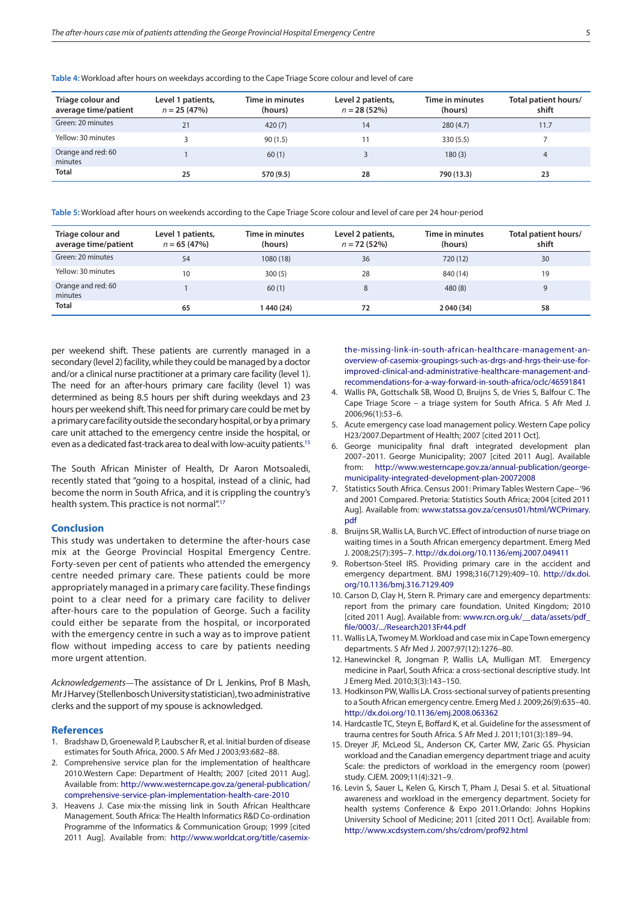**Table 4:** Workload after hours on weekdays according to the Cape Triage Score colour and level of care

| Triage colour and<br>average time/patient | Level 1 patients,<br>$n = 25(47%)$ | Time in minutes<br>(hours) | Level 2 patients,<br>$n = 28(52%)$ | Time in minutes<br>(hours) | Total patient hours/<br>shift |
|-------------------------------------------|------------------------------------|----------------------------|------------------------------------|----------------------------|-------------------------------|
| Green: 20 minutes                         | 21                                 | 420(7)                     | 14                                 | 280(4.7)                   | 11.7                          |
| Yellow: 30 minutes                        |                                    | 90(1.5)                    |                                    | 330 (5.5)                  |                               |
| Orange and red: 60<br>minutes             |                                    | 60(1)                      |                                    | 180(3)                     | 4                             |
| <b>Total</b>                              | 25                                 | 570 (9.5)                  | 28                                 | 790 (13.3)                 | 23                            |

**Table 5:** Workload after hours on weekends according to the Cape Triage Score colour and level of care per 24 hour-period

| Triage colour and<br>average time/patient | Level 1 patients,<br>$n = 65(47%)$ | Time in minutes<br>(hours) | Level 2 patients,<br>$n = 72(52%)$ | Time in minutes<br>(hours) | Total patient hours/<br>shift |
|-------------------------------------------|------------------------------------|----------------------------|------------------------------------|----------------------------|-------------------------------|
| Green: 20 minutes                         | 54                                 | 1080 (18)                  | 36                                 | 720 (12)                   | 30                            |
| Yellow: 30 minutes                        | 10                                 | 300(5)                     | 28                                 | 840 (14)                   | 19                            |
| Orange and red: 60<br>minutes             |                                    | 60(1)                      | 8                                  | 480(8)                     | q                             |
| Total                                     | 65                                 | 1 440 (24)                 | 72                                 | 2 040 (34)                 | 58                            |

per weekend shift. These patients are currently managed in a secondary (level 2) facility, while they could be managed by a doctor and/or a clinical nurse practitioner at a primary care facility (level 1). The need for an after-hours primary care facility (level 1) was determined as being 8.5 hours per shift during weekdays and 23 hours per weekend shift. This need for primary care could be met by a primary care facility outside the secondary hospital, or by a primary care unit attached to the emergency centre inside the hospital, or even as a dedicated fast-track area to deal with low-acuity patients[.15](#page-4-13)

The South African Minister of Health, Dr Aaron Motsoaledi, recently stated that "going to a hospital, instead of a clinic, had become the norm in South Africa, and it is crippling the country's health system. This practice is not normal".<sup>[17](#page-5-1)</sup>

#### **Conclusion**

This study was undertaken to determine the after-hours case mix at the George Provincial Hospital Emergency Centre. Forty-seven per cent of patients who attended the emergency centre needed primary care. These patients could be more appropriately managed in a primary care facility. These findings point to a clear need for a primary care facility to deliver after-hours care to the population of George. Such a facility could either be separate from the hospital, or incorporated with the emergency centre in such a way as to improve patient flow without impeding access to care by patients needing more urgent attention.

*Acknowledgements*—The assistance of Dr L Jenkins, Prof B Mash, Mr J Harvey (Stellenbosch University statistician), two administrative clerks and the support of my spouse is acknowledged.

#### **References**

- <span id="page-4-0"></span>1. Bradshaw D, Groenewald P, Laubscher R, et al. Initial burden of disease estimates for South Africa, 2000. S Afr Med J 2003;93:682–88.
- <span id="page-4-1"></span>2. Comprehensive service plan for the implementation of healthcare 2010.Western Cape: Department of Health; 2007 [cited 2011 Aug]. Available from: [http://www.westerncape.gov.za/general-publication/](http://www.westerncape.gov.za/general-publication/comprehensive-service-plan-implementation-health-care-2010) [comprehensive-service-plan-implementation-health-care-2010](http://www.westerncape.gov.za/general-publication/comprehensive-service-plan-implementation-health-care-2010)
- <span id="page-4-2"></span>3. Heavens J. Case mix-the missing link in South African Healthcare Management. South Africa: The Health Informatics R&D Co-ordination Programme of the Informatics & Communication Group; 1999 [cited 2011 Aug]. Available from: [http://www.worldcat.org/title/casemix-](http://www.worldcat.org/title/casemix-the-missing-link-in-south-african-healthcare-management-an-overview-of-casemix-groupings-such-as-drgs-and-hrgs-their-use-for-improved-clinical-and-administrative-healthcare-management-and-recommendations-for-a-way-forward-in-south-africa/oclc/46591841)

[the-missing-link-in-south-african-healthcare-management-an](http://www.worldcat.org/title/casemix-the-missing-link-in-south-african-healthcare-management-an-overview-of-casemix-groupings-such-as-drgs-and-hrgs-their-use-for-improved-clinical-and-administrative-healthcare-management-and-recommendations-for-a-way-forward-in-south-africa/oclc/46591841)[overview-of-casemix-groupings-such-as-drgs-and-hrgs-their-use-for](http://www.worldcat.org/title/casemix-the-missing-link-in-south-african-healthcare-management-an-overview-of-casemix-groupings-such-as-drgs-and-hrgs-their-use-for-improved-clinical-and-administrative-healthcare-management-and-recommendations-for-a-way-forward-in-south-africa/oclc/46591841)[improved-clinical-and-administrative-healthcare-management-and](http://www.worldcat.org/title/casemix-the-missing-link-in-south-african-healthcare-management-an-overview-of-casemix-groupings-such-as-drgs-and-hrgs-their-use-for-improved-clinical-and-administrative-healthcare-management-and-recommendations-for-a-way-forward-in-south-africa/oclc/46591841)[recommendations-for-a-way-forward-in-south-africa/oclc/46591841](http://www.worldcat.org/title/casemix-the-missing-link-in-south-african-healthcare-management-an-overview-of-casemix-groupings-such-as-drgs-and-hrgs-their-use-for-improved-clinical-and-administrative-healthcare-management-and-recommendations-for-a-way-forward-in-south-africa/oclc/46591841)

- <span id="page-4-3"></span>4. Wallis PA, Gottschalk SB, Wood D, Bruijns S, de Vries S, Balfour C. The Cape Triage Score – a triage system for South Africa. S Afr Med J. 2006;96(1):53–6.
- <span id="page-4-4"></span>5. Acute emergency case load management policy. Western Cape policy H23/2007.Department of Health; 2007 [cited 2011 Oct].
- <span id="page-4-5"></span>6. George municipality final draft integrated development plan 2007–2011. George Municipality; 2007 [cited 2011 Aug]. Available from: [http://www.westerncape.gov.za/annual-publication/george](http://www.westerncape.gov.za/annual-publication/george-municipality-integrated-development-plan-20072008)[municipality-integrated-development-plan-20072008](http://www.westerncape.gov.za/annual-publication/george-municipality-integrated-development-plan-20072008)
- <span id="page-4-6"></span>7. Statistics South Africa. Census 2001: Primary Tables Western Cape– '96 and 2001 Compared. Pretoria: Statistics South Africa; 2004 [cited 2011 Aug]. Available from: [www.statssa.gov.za/census01/html/WCPrimary.](http://www.statssa.gov.za/census01/html/WCPrimary.pdf) [pdf](http://www.statssa.gov.za/census01/html/WCPrimary.pdf)
- <span id="page-4-7"></span>8. Bruijns SR, Wallis LA, Burch VC. Effect of introduction of nurse triage on waiting times in a South African emergency department. Emerg Med J. 2008;25(7):395–7[. http://dx.doi.org/10.1136/emj.2007.049411](http://dx.doi.org/10.1136/emj.2007.049411)
- <span id="page-4-8"></span>9. Robertson-Steel IRS. Providing primary care in the accident and emergency department. BMJ 1998;316(7129):409–10. [http://dx.doi.](http://dx.doi.org/10.1136/bmj.316.7129.409) [org/10.1136/bmj.316.7129.409](http://dx.doi.org/10.1136/bmj.316.7129.409)
- <span id="page-4-9"></span>10. Carson D, Clay H, Stern R. Primary care and emergency departments: report from the primary care foundation. United Kingdom; 2010 [cited 2011 Aug]. Available from: www.rcn.org.uk/\_data/assets/pdf\_ [file/0003/.../Research2013Fr44.pdf](http://www.rcn.org.uk/__data/assets/pdf_file/0003/.../Research2013Fr44.pdf)
- <span id="page-4-10"></span>11. Wallis LA, Twomey M. Workload and case mix in Cape Town emergency departments. S Afr Med J. 2007;97(12):1276–80.
- 12. Hanewinckel R, Jongman P, Wallis LA, Mulligan MT. Emergency medicine in Paarl, South Africa: a cross-sectional descriptive study. Int J Emerg Med. 2010;3(3):143–150.
- <span id="page-4-12"></span>13. Hodkinson PW, Wallis LA. Cross-sectional survey of patients presenting to a South African emergency centre. Emerg Med J. 2009;26(9):635–40. <http://dx.doi.org/10.1136/emj.2008.063362>
- <span id="page-4-11"></span>14. Hardcastle TC, Steyn E, Boffard K, et al. Guideline for the assessment of trauma centres for South Africa. S Afr Med J. 2011;101(3):189–94.
- <span id="page-4-13"></span>15. Dreyer JF, McLeod SL, Anderson CK, Carter MW, Zaric GS. Physician workload and the Canadian emergency department triage and acuity Scale: the predictors of workload in the emergency room (power) study. CJEM. 2009;11(4):321–9.
- <span id="page-4-14"></span>16. Levin S, Sauer L, Kelen G, Kirsch T, Pham J, Desai S. et al. Situational awareness and workload in the emergency department. Society for health systems Conference & Expo 2011.Orlando: Johns Hopkins University School of Medicine; 2011 [cited 2011 Oct]. Available from: <http://www.xcdsystem.com/shs/cdrom/prof92.html>